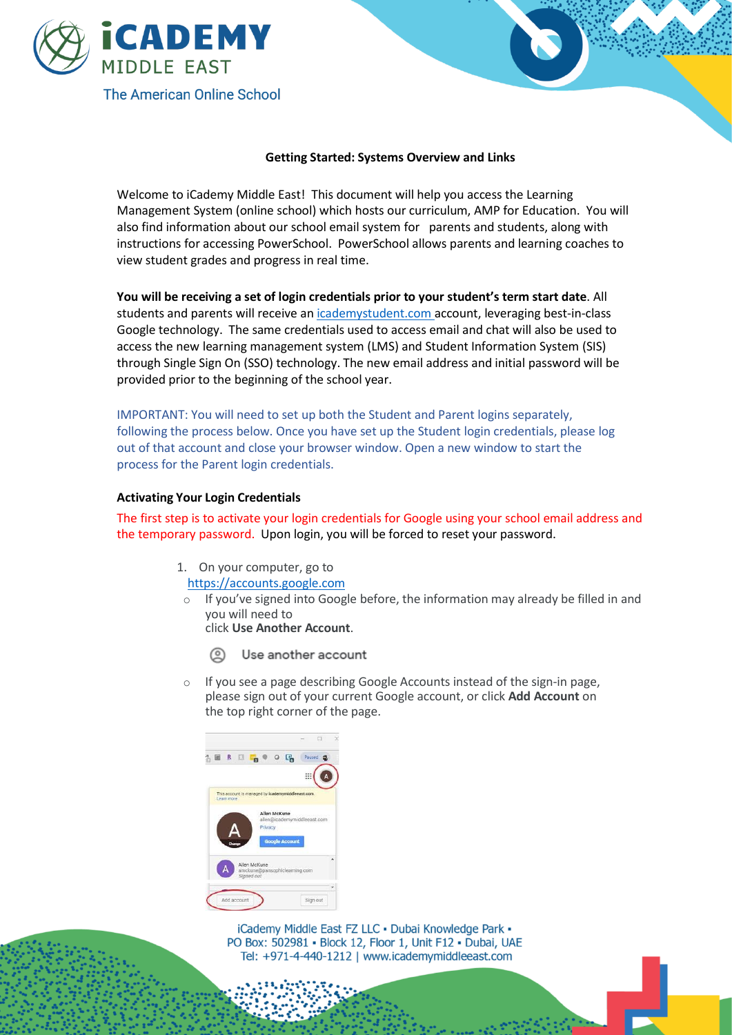

## **Getting Started: Systems Overview and Links**

Welcome to iCademy Middle East! This document will help you access the Learning Management System (online school) which hosts our curriculum, AMP for Education. You will also find information about our school email system for parents and students, along with instructions for accessing PowerSchool. PowerSchool allows parents and learning coaches to view student grades and progress in real time.

**You will be receiving a set of login credentials prior to your student's term start date**. All students and parents will receive an [icademystudent.com](https://nam02.safelinks.protection.outlook.com/?url=http%3A%2F%2Ficademystudent.com&data=02%7C01%7Cdclaver%40icademymiddleeast.com%7C7a4f098b49d340e4a21f08d710a4aedc%7C4f48161dd9724dbb83740fd5b53a0be7%7C1%7C0%7C636996171801102334&sdata=6kAynfM1iHUdCe5Z%2FcU%2By48IYi9mdvWgUH6oI8%2BTL%2FI%3D&reserved=0) account, leveraging best-in-class Google technology. The same credentials used to access email and chat will also be used to access the new learning management system (LMS) and Student Information System (SIS) through Single Sign On (SSO) technology. The new email address and initial password will be provided prior to the beginning of the school year.

IMPORTANT: You will need to set up both the Student and Parent logins separately, following the process below. Once you have set up the Student login credentials, please log out of that account and close your browser window. Open a new window to start the process for the Parent login credentials.

## **Activating Your Login Credentials**

The first step is to activate your login credentials for Google using your school email address and the temporary password. Upon login, you will be forced to reset your password.

- 1. On your computer, go to
- [https://accounts.google.com](https://accounts.google.com/)
- $\circ$  If you've signed into Google before, the information may already be filled in and you will need to click **Use Another Account**.
	- Use another account
- If you see a page describing Google Accounts instead of the sign-in page, please sign out of your current Google account, or click **Add Account** on the top right corner of the page.

| <b>Int</b> |            | <b>R</b> |                            |         |              | Q,                                                | Paused |  |
|------------|------------|----------|----------------------------|---------|--------------|---------------------------------------------------|--------|--|
|            |            |          |                            |         |              |                                                   | ₩      |  |
|            | Learn more |          |                            |         | Allen McKune | This account is managed by icademymiddleeast.com. |        |  |
|            |            |          |                            |         |              |                                                   |        |  |
|            |            |          |                            | Privacy |              | allen@icademymiddleeast.com                       |        |  |
|            |            |          |                            |         |              | <b>Google Account</b>                             |        |  |
|            |            |          | Allen McKune<br>Signed out |         |              | amckune@pansophiclearning.com                     |        |  |

iCademy Middle East FZ LLC · Dubai Knowledge Park · PO Box: 502981 · Block 12, Floor 1, Unit F12 · Dubai, UAE Tel: +971-4-440-1212 | www.icademymiddleeast.com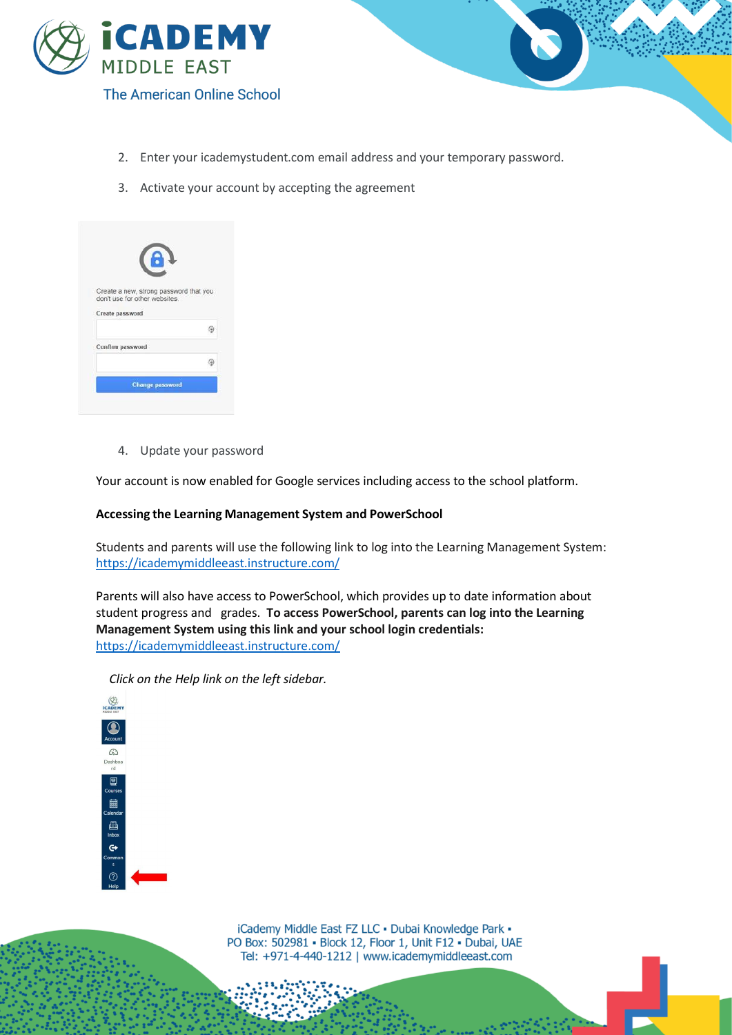

- 2. Enter your icademystudent.com email address and your temporary password.
- 3. Activate your account by accepting the agreement

| Create a new, strong password that you<br>don't use for other websites. |  |
|-------------------------------------------------------------------------|--|
| Create password                                                         |  |
|                                                                         |  |
| Confirm password                                                        |  |
|                                                                         |  |
|                                                                         |  |

4. Update your password

Your account is now enabled for Google services including access to the school platform.

## **Accessing the Learning Management System and PowerSchool**

Students and parents will use the following link to log into the Learning Management System: <https://icademymiddleeast.instructure.com/>

Parents will also have access to PowerSchool, which provides up to date information about student progress and grades. **To access PowerSchool, parents can log into the Learning Management System using this link and your school login credentials:** [https://icademymiddleeast.instructure.com/](https://nam02.safelinks.protection.outlook.com/?url=https%3A%2F%2Ficademymiddleeast.instructure.com%2F&data=02%7C01%7Cdclaver%40icademymiddleeast.com%7Cf41f003d97ac455a590508d71778e77b%7C4f48161dd9724dbb83740fd5b53a0be7%7C1%7C0%7C637003680355863937&sdata=iRBHL11dIGwO9D%2FCJ4mTtv%2B8wcV4tEodlMqh6Jhjgq8%3D&reserved=0)

*Click on the Help link on the left sidebar.*



iCademy Middle East FZ LLC · Dubai Knowledge Park · PO Box: 502981 · Block 12, Floor 1, Unit F12 · Dubai, UAE Tel: +971-4-440-1212 | www.icademymiddleeast.com